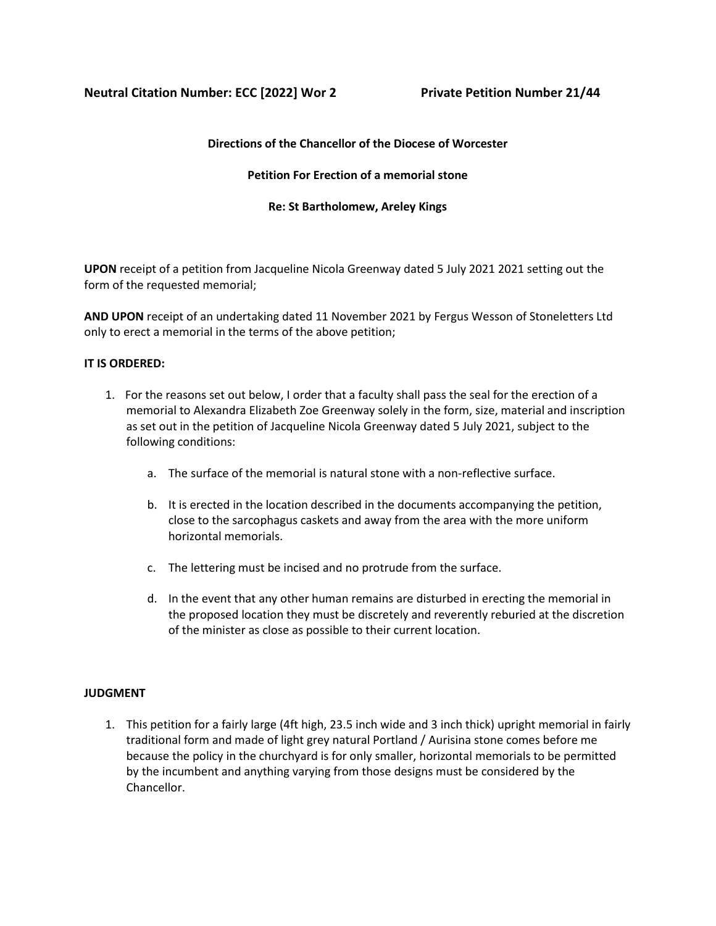# **Neutral Citation Number: ECC [2022] Wor 2 Private Petition Number 21/44**

## **Directions of the Chancellor of the Diocese of Worcester**

## **Petition For Erection of a memorial stone**

## **Re: St Bartholomew, Areley Kings**

**UPON** receipt of a petition from Jacqueline Nicola Greenway dated 5 July 2021 2021 setting out the form of the requested memorial;

**AND UPON** receipt of an undertaking dated 11 November 2021 by Fergus Wesson of Stoneletters Ltd only to erect a memorial in the terms of the above petition;

## **IT IS ORDERED:**

- 1. For the reasons set out below, I order that a faculty shall pass the seal for the erection of a memorial to Alexandra Elizabeth Zoe Greenway solely in the form, size, material and inscription as set out in the petition of Jacqueline Nicola Greenway dated 5 July 2021, subject to the following conditions:
	- a. The surface of the memorial is natural stone with a non-reflective surface.
	- b. It is erected in the location described in the documents accompanying the petition, close to the sarcophagus caskets and away from the area with the more uniform horizontal memorials.
	- c. The lettering must be incised and no protrude from the surface.
	- d. In the event that any other human remains are disturbed in erecting the memorial in the proposed location they must be discretely and reverently reburied at the discretion of the minister as close as possible to their current location.

#### **JUDGMENT**

1. This petition for a fairly large (4ft high, 23.5 inch wide and 3 inch thick) upright memorial in fairly traditional form and made of light grey natural Portland / Aurisina stone comes before me because the policy in the churchyard is for only smaller, horizontal memorials to be permitted by the incumbent and anything varying from those designs must be considered by the Chancellor.